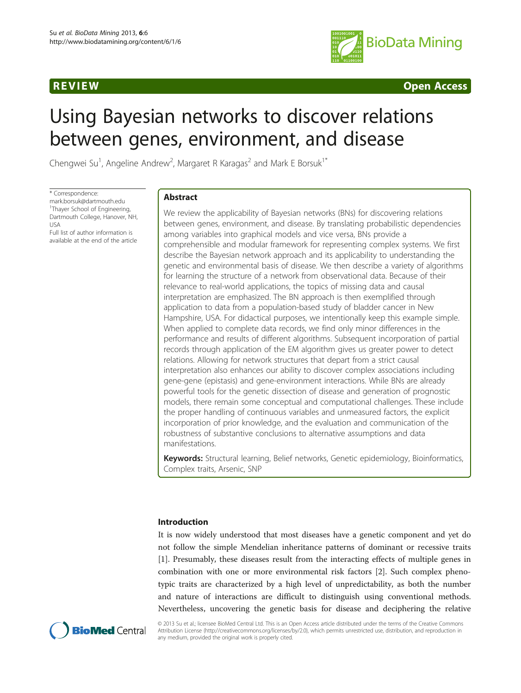

**REVIEW CONSTRUCTION CONSTRUCTION CONSTRUCTS** 

# Using Bayesian networks to discover relations between genes, environment, and disease

Chengwei Su<sup>1</sup>, Angeline Andrew<sup>2</sup>, Margaret R Karagas<sup>2</sup> and Mark E Borsuk<sup>1\*</sup>

\* Correspondence: mark.borsuk@dartmouth.edu

<sup>1</sup>Thayer School of Engineering, Dartmouth College, Hanover, NH, USA Full list of author information is available at the end of the article

# Abstract

We review the applicability of Bayesian networks (BNs) for discovering relations between genes, environment, and disease. By translating probabilistic dependencies among variables into graphical models and vice versa, BNs provide a comprehensible and modular framework for representing complex systems. We first describe the Bayesian network approach and its applicability to understanding the genetic and environmental basis of disease. We then describe a variety of algorithms for learning the structure of a network from observational data. Because of their relevance to real-world applications, the topics of missing data and causal interpretation are emphasized. The BN approach is then exemplified through application to data from a population-based study of bladder cancer in New Hampshire, USA. For didactical purposes, we intentionally keep this example simple. When applied to complete data records, we find only minor differences in the performance and results of different algorithms. Subsequent incorporation of partial records through application of the EM algorithm gives us greater power to detect relations. Allowing for network structures that depart from a strict causal interpretation also enhances our ability to discover complex associations including gene-gene (epistasis) and gene-environment interactions. While BNs are already powerful tools for the genetic dissection of disease and generation of prognostic models, there remain some conceptual and computational challenges. These include the proper handling of continuous variables and unmeasured factors, the explicit incorporation of prior knowledge, and the evaluation and communication of the robustness of substantive conclusions to alternative assumptions and data manifestations.

Keywords: Structural learning, Belief networks, Genetic epidemiology, Bioinformatics, Complex traits, Arsenic, SNP

# Introduction

It is now widely understood that most diseases have a genetic component and yet do not follow the simple Mendelian inheritance patterns of dominant or recessive traits [[1\]](#page-19-0). Presumably, these diseases result from the interacting effects of multiple genes in combination with one or more environmental risk factors [\[2](#page-19-0)]. Such complex phenotypic traits are characterized by a high level of unpredictability, as both the number and nature of interactions are difficult to distinguish using conventional methods. Nevertheless, uncovering the genetic basis for disease and deciphering the relative



© 2013 Su et al.; licensee BioMed Central Ltd. This is an Open Access article distributed under the terms of the Creative Commons Attribution License (<http://creativecommons.org/licenses/by/2.0>), which permits unrestricted use, distribution, and reproduction in any medium, provided the original work is properly cited.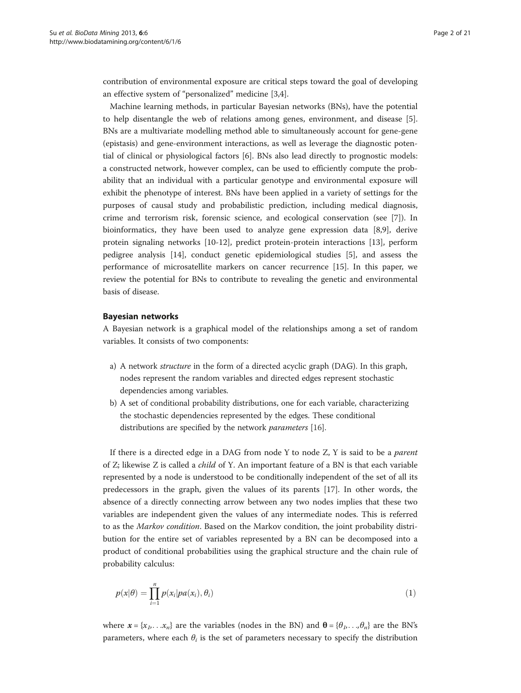<span id="page-1-0"></span>contribution of environmental exposure are critical steps toward the goal of developing an effective system of "personalized" medicine [[3,4\]](#page-19-0).

Machine learning methods, in particular Bayesian networks (BNs), have the potential to help disentangle the web of relations among genes, environment, and disease [\[5](#page-19-0)]. BNs are a multivariate modelling method able to simultaneously account for gene-gene (epistasis) and gene-environment interactions, as well as leverage the diagnostic potential of clinical or physiological factors [\[6](#page-19-0)]. BNs also lead directly to prognostic models: a constructed network, however complex, can be used to efficiently compute the probability that an individual with a particular genotype and environmental exposure will exhibit the phenotype of interest. BNs have been applied in a variety of settings for the purposes of causal study and probabilistic prediction, including medical diagnosis, crime and terrorism risk, forensic science, and ecological conservation (see [[7\]](#page-19-0)). In bioinformatics, they have been used to analyze gene expression data [[8,9\]](#page-19-0), derive protein signaling networks [[10-12\]](#page-19-0), predict protein-protein interactions [\[13\]](#page-19-0), perform pedigree analysis [[14\]](#page-19-0), conduct genetic epidemiological studies [[5](#page-19-0)], and assess the performance of microsatellite markers on cancer recurrence [[15\]](#page-19-0). In this paper, we review the potential for BNs to contribute to revealing the genetic and environmental basis of disease.

### Bayesian networks

A Bayesian network is a graphical model of the relationships among a set of random variables. It consists of two components:

- a) A network structure in the form of a directed acyclic graph (DAG). In this graph, nodes represent the random variables and directed edges represent stochastic dependencies among variables.
- b) A set of conditional probability distributions, one for each variable, characterizing the stochastic dependencies represented by the edges. These conditional distributions are specified by the network *parameters* [\[16\]](#page-19-0).

If there is a directed edge in a DAG from node Y to node  $Z$ , Y is said to be a *parent* of Z; likewise Z is called a *child* of Y. An important feature of a BN is that each variable represented by a node is understood to be conditionally independent of the set of all its predecessors in the graph, given the values of its parents [\[17](#page-19-0)]. In other words, the absence of a directly connecting arrow between any two nodes implies that these two variables are independent given the values of any intermediate nodes. This is referred to as the Markov condition. Based on the Markov condition, the joint probability distribution for the entire set of variables represented by a BN can be decomposed into a product of conditional probabilities using the graphical structure and the chain rule of probability calculus:

$$
p(x|\theta) = \prod_{i=1}^{n} p(x_i|pa(x_i), \theta_i)
$$
\n(1)

where  $\mathbf{x} = \{x_1, \ldots, x_n\}$  are the variables (nodes in the BN) and  $\mathbf{\theta} = \{\theta_1, \ldots, \theta_n\}$  are the BN's parameters, where each  $\theta_i$  is the set of parameters necessary to specify the distribution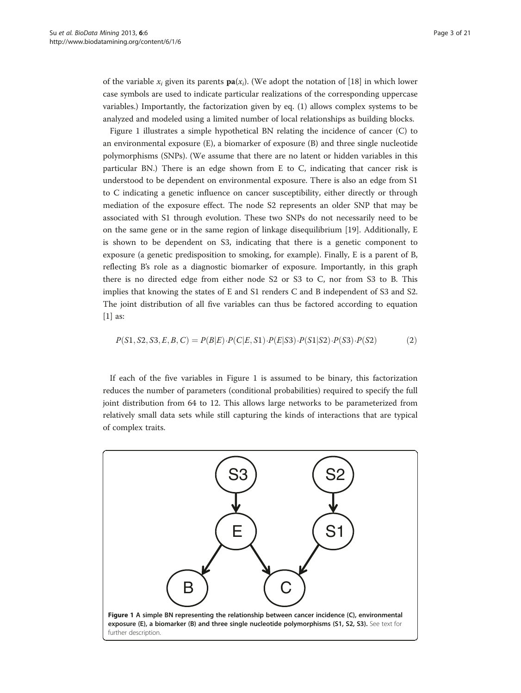<span id="page-2-0"></span>of the variable  $x_i$  given its parents  $\mathbf{pa}(x_i)$ . (We adopt the notation of [[18\]](#page-19-0) in which lower case symbols are used to indicate particular realizations of the corresponding uppercase variables.) Importantly, the factorization given by eq. [\(1](#page-1-0)) allows complex systems to be analyzed and modeled using a limited number of local relationships as building blocks.

Figure 1 illustrates a simple hypothetical BN relating the incidence of cancer (C) to an environmental exposure (E), a biomarker of exposure (B) and three single nucleotide polymorphisms (SNPs). (We assume that there are no latent or hidden variables in this particular BN.) There is an edge shown from E to C, indicating that cancer risk is understood to be dependent on environmental exposure. There is also an edge from S1 to C indicating a genetic influence on cancer susceptibility, either directly or through mediation of the exposure effect. The node S2 represents an older SNP that may be associated with S1 through evolution. These two SNPs do not necessarily need to be on the same gene or in the same region of linkage disequilibrium [[19\]](#page-19-0). Additionally, E is shown to be dependent on S3, indicating that there is a genetic component to exposure (a genetic predisposition to smoking, for example). Finally, E is a parent of B, reflecting B's role as a diagnostic biomarker of exposure. Importantly, in this graph there is no directed edge from either node S2 or S3 to C, nor from S3 to B. This implies that knowing the states of E and S1 renders C and B independent of S3 and S2. The joint distribution of all five variables can thus be factored according to equation [[1\]](#page-19-0) as:

$$
P(S1, S2, S3, E, B, C) = P(B|E) \cdot P(C|E, S1) \cdot P(E|S3) \cdot P(S1|S2) \cdot P(S3) \cdot P(S2)
$$
 (2)

If each of the five variables in Figure 1 is assumed to be binary, this factorization reduces the number of parameters (conditional probabilities) required to specify the full joint distribution from 64 to 12. This allows large networks to be parameterized from relatively small data sets while still capturing the kinds of interactions that are typical of complex traits.

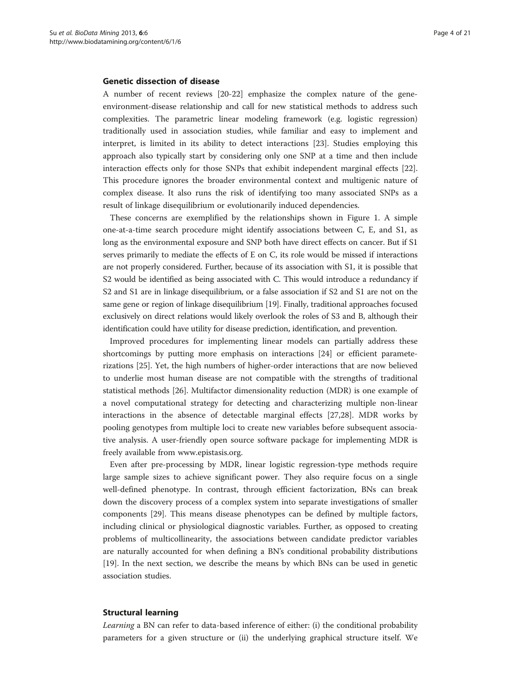#### Genetic dissection of disease

A number of recent reviews [[20-22\]](#page-19-0) emphasize the complex nature of the geneenvironment-disease relationship and call for new statistical methods to address such complexities. The parametric linear modeling framework (e.g. logistic regression) traditionally used in association studies, while familiar and easy to implement and interpret, is limited in its ability to detect interactions [\[23\]](#page-19-0). Studies employing this approach also typically start by considering only one SNP at a time and then include interaction effects only for those SNPs that exhibit independent marginal effects [[22](#page-19-0)]. This procedure ignores the broader environmental context and multigenic nature of complex disease. It also runs the risk of identifying too many associated SNPs as a result of linkage disequilibrium or evolutionarily induced dependencies.

These concerns are exemplified by the relationships shown in Figure [1](#page-2-0). A simple one-at-a-time search procedure might identify associations between C, E, and S1, as long as the environmental exposure and SNP both have direct effects on cancer. But if S1 serves primarily to mediate the effects of E on C, its role would be missed if interactions are not properly considered. Further, because of its association with S1, it is possible that S2 would be identified as being associated with C. This would introduce a redundancy if S2 and S1 are in linkage disequilibrium, or a false association if S2 and S1 are not on the same gene or region of linkage disequilibrium [[19](#page-19-0)]. Finally, traditional approaches focused exclusively on direct relations would likely overlook the roles of S3 and B, although their identification could have utility for disease prediction, identification, and prevention.

Improved procedures for implementing linear models can partially address these shortcomings by putting more emphasis on interactions [\[24\]](#page-19-0) or efficient parameterizations [[25\]](#page-19-0). Yet, the high numbers of higher-order interactions that are now believed to underlie most human disease are not compatible with the strengths of traditional statistical methods [\[26](#page-19-0)]. Multifactor dimensionality reduction (MDR) is one example of a novel computational strategy for detecting and characterizing multiple non-linear interactions in the absence of detectable marginal effects [[27,28](#page-19-0)]. MDR works by pooling genotypes from multiple loci to create new variables before subsequent associative analysis. A user-friendly open source software package for implementing MDR is freely available from [www.epistasis.org](http://www.epistasis.org).

Even after pre-processing by MDR, linear logistic regression-type methods require large sample sizes to achieve significant power. They also require focus on a single well-defined phenotype. In contrast, through efficient factorization, BNs can break down the discovery process of a complex system into separate investigations of smaller components [\[29](#page-19-0)]. This means disease phenotypes can be defined by multiple factors, including clinical or physiological diagnostic variables. Further, as opposed to creating problems of multicollinearity, the associations between candidate predictor variables are naturally accounted for when defining a BN's conditional probability distributions [[19\]](#page-19-0). In the next section, we describe the means by which BNs can be used in genetic association studies.

# Structural learning

Learning a BN can refer to data-based inference of either: (i) the conditional probability parameters for a given structure or (ii) the underlying graphical structure itself. We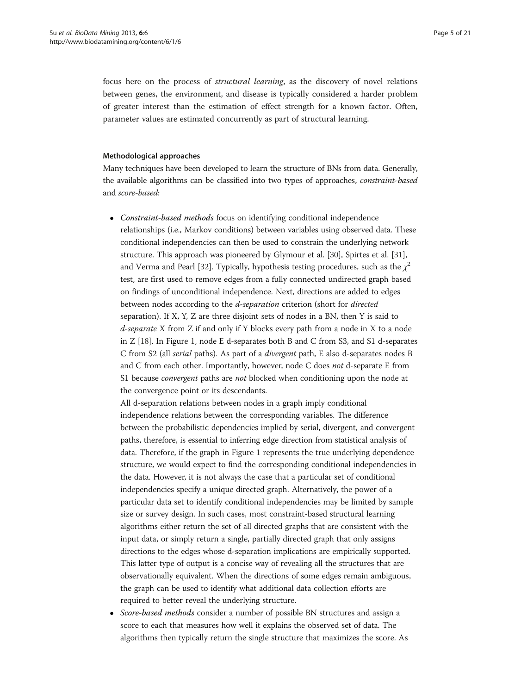focus here on the process of structural learning, as the discovery of novel relations between genes, the environment, and disease is typically considered a harder problem of greater interest than the estimation of effect strength for a known factor. Often, parameter values are estimated concurrently as part of structural learning.

# Methodological approaches

Many techniques have been developed to learn the structure of BNs from data. Generally, the available algorithms can be classified into two types of approaches, constraint-based and score-based:

• Constraint-based methods focus on identifying conditional independence relationships (i.e., Markov conditions) between variables using observed data. These conditional independencies can then be used to constrain the underlying network structure. This approach was pioneered by Glymour et al. [\[30\]](#page-19-0), Spirtes et al. [[31](#page-19-0)], and Verma and Pearl [\[32\]](#page-19-0). Typically, hypothesis testing procedures, such as the  $\chi^2$ test, are first used to remove edges from a fully connected undirected graph based on findings of unconditional independence. Next, directions are added to edges between nodes according to the *d-separation* criterion (short for *directed* separation). If X, Y, Z are three disjoint sets of nodes in a BN, then Y is said to d-separate X from Z if and only if Y blocks every path from a node in X to a node in Z [[18](#page-19-0)]. In Figure [1,](#page-2-0) node E d-separates both B and C from S3, and S1 d-separates C from S2 (all serial paths). As part of a divergent path, E also d-separates nodes B and C from each other. Importantly, however, node C does not d-separate E from S1 because *convergent* paths are *not* blocked when conditioning upon the node at the convergence point or its descendants.

All d-separation relations between nodes in a graph imply conditional independence relations between the corresponding variables. The difference between the probabilistic dependencies implied by serial, divergent, and convergent paths, therefore, is essential to inferring edge direction from statistical analysis of data. Therefore, if the graph in Figure [1](#page-2-0) represents the true underlying dependence structure, we would expect to find the corresponding conditional independencies in the data. However, it is not always the case that a particular set of conditional independencies specify a unique directed graph. Alternatively, the power of a particular data set to identify conditional independencies may be limited by sample size or survey design. In such cases, most constraint-based structural learning algorithms either return the set of all directed graphs that are consistent with the input data, or simply return a single, partially directed graph that only assigns directions to the edges whose d-separation implications are empirically supported. This latter type of output is a concise way of revealing all the structures that are observationally equivalent. When the directions of some edges remain ambiguous, the graph can be used to identify what additional data collection efforts are required to better reveal the underlying structure.

• Score-based methods consider a number of possible BN structures and assign a score to each that measures how well it explains the observed set of data. The algorithms then typically return the single structure that maximizes the score. As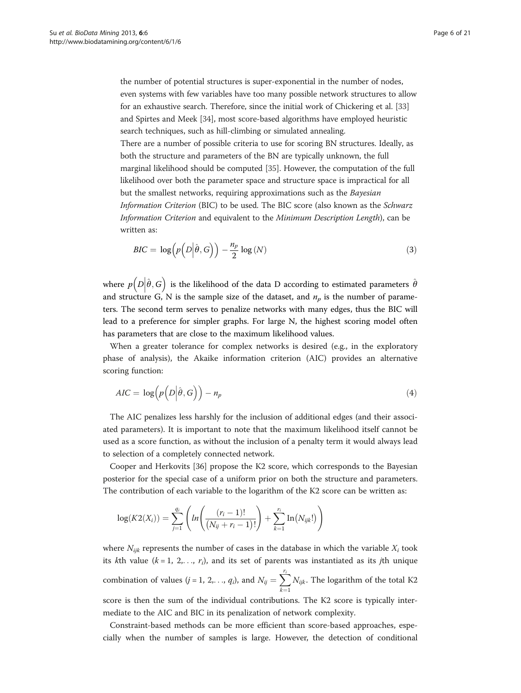the number of potential structures is super-exponential in the number of nodes, even systems with few variables have too many possible network structures to allow for an exhaustive search. Therefore, since the initial work of Chickering et al. [\[33](#page-19-0)] and Spirtes and Meek [[34](#page-19-0)], most score-based algorithms have employed heuristic search techniques, such as hill-climbing or simulated annealing. There are a number of possible criteria to use for scoring BN structures. Ideally, as both the structure and parameters of the BN are typically unknown, the full marginal likelihood should be computed [[35](#page-19-0)]. However, the computation of the full likelihood over both the parameter space and structure space is impractical for all but the smallest networks, requiring approximations such as the Bayesian Information Criterion (BIC) to be used. The BIC score (also known as the Schwarz Information Criterion and equivalent to the Minimum Description Length), can be written as:

$$
BIC = \log\left(p\left(D\middle|\hat{\theta}, G\right)\right) - \frac{n_p}{2}\log\left(N\right) \tag{3}
$$

where  $p \big( D \big | \hat{\theta},G \big)$  is the likelihood of the data D according to estimated parameters  $\hat{\theta}$ and structure G, N is the sample size of the dataset, and  $n_p$  is the number of parameters. The second term serves to penalize networks with many edges, thus the BIC will lead to a preference for simpler graphs. For large N, the highest scoring model often has parameters that are close to the maximum likelihood values.

When a greater tolerance for complex networks is desired (e.g., in the exploratory phase of analysis), the Akaike information criterion (AIC) provides an alternative scoring function:

$$
AIC = \log(p(D|\hat{\theta}, G)) - n_p \tag{4}
$$

The AIC penalizes less harshly for the inclusion of additional edges (and their associated parameters). It is important to note that the maximum likelihood itself cannot be used as a score function, as without the inclusion of a penalty term it would always lead to selection of a completely connected network.

Cooper and Herkovits [[36\]](#page-19-0) propose the K2 score, which corresponds to the Bayesian posterior for the special case of a uniform prior on both the structure and parameters. The contribution of each variable to the logarithm of the K2 score can be written as:

$$
\log(K2(X_i)) = \sum_{j=1}^{q_i} \left( ln \left( \frac{(r_i - 1)!}{(N_{ij} + r_i - 1)!} \right) + \sum_{k=1}^{r_i} ln(N_{ijk}!) \right)
$$

where  $N_{ijk}$  represents the number of cases in the database in which the variable  $X_i$  took its kth value ( $k = 1, 2, \ldots, r_i$ ), and its set of parents was instantiated as its jth unique combination of values  $(j = 1, 2, \ldots, q_i)$ , and  $N_{ij} = \sum^{r_i}$  $k=1$  $N_{ijk}.$  The logarithm of the total K2 score is then the sum of the individual contributions. The K2 score is typically intermediate to the AIC and BIC in its penalization of network complexity.

Constraint-based methods can be more efficient than score-based approaches, especially when the number of samples is large. However, the detection of conditional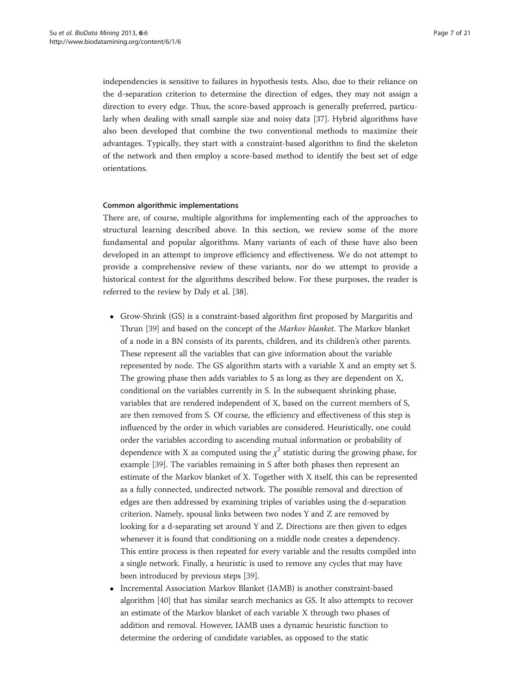independencies is sensitive to failures in hypothesis tests. Also, due to their reliance on the d-separation criterion to determine the direction of edges, they may not assign a direction to every edge. Thus, the score-based approach is generally preferred, particularly when dealing with small sample size and noisy data [\[37](#page-20-0)]. Hybrid algorithms have also been developed that combine the two conventional methods to maximize their advantages. Typically, they start with a constraint-based algorithm to find the skeleton of the network and then employ a score-based method to identify the best set of edge orientations.

# Common algorithmic implementations

There are, of course, multiple algorithms for implementing each of the approaches to structural learning described above. In this section, we review some of the more fundamental and popular algorithms. Many variants of each of these have also been developed in an attempt to improve efficiency and effectiveness. We do not attempt to provide a comprehensive review of these variants, nor do we attempt to provide a historical context for the algorithms described below. For these purposes, the reader is referred to the review by Daly et al. [\[38\]](#page-20-0).

- Grow-Shrink (GS) is a constraint-based algorithm first proposed by Margaritis and Thrun [[39](#page-20-0)] and based on the concept of the Markov blanket. The Markov blanket of a node in a BN consists of its parents, children, and its children's other parents. These represent all the variables that can give information about the variable represented by node. The GS algorithm starts with a variable X and an empty set S. The growing phase then adds variables to S as long as they are dependent on X, conditional on the variables currently in S. In the subsequent shrinking phase, variables that are rendered independent of X, based on the current members of S, are then removed from S. Of course, the efficiency and effectiveness of this step is influenced by the order in which variables are considered. Heuristically, one could order the variables according to ascending mutual information or probability of dependence with X as computed using the  $\chi^2$  statistic during the growing phase, for example [[39\]](#page-20-0). The variables remaining in S after both phases then represent an estimate of the Markov blanket of X. Together with X itself, this can be represented as a fully connected, undirected network. The possible removal and direction of edges are then addressed by examining triples of variables using the d-separation criterion. Namely, spousal links between two nodes Y and Z are removed by looking for a d-separating set around Y and Z. Directions are then given to edges whenever it is found that conditioning on a middle node creates a dependency. This entire process is then repeated for every variable and the results compiled into a single network. Finally, a heuristic is used to remove any cycles that may have been introduced by previous steps [[39](#page-20-0)].
- Incremental Association Markov Blanket (IAMB) is another constraint-based algorithm [[40](#page-20-0)] that has similar search mechanics as GS. It also attempts to recover an estimate of the Markov blanket of each variable X through two phases of addition and removal. However, IAMB uses a dynamic heuristic function to determine the ordering of candidate variables, as opposed to the static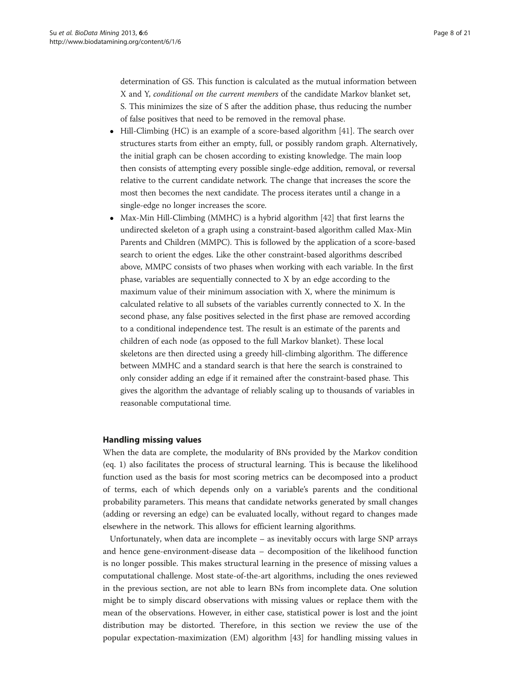determination of GS. This function is calculated as the mutual information between X and Y, conditional on the current members of the candidate Markov blanket set, S. This minimizes the size of S after the addition phase, thus reducing the number of false positives that need to be removed in the removal phase.

- Hill-Climbing (HC) is an example of a score-based algorithm [[41](#page-20-0)]. The search over structures starts from either an empty, full, or possibly random graph. Alternatively, the initial graph can be chosen according to existing knowledge. The main loop then consists of attempting every possible single-edge addition, removal, or reversal relative to the current candidate network. The change that increases the score the most then becomes the next candidate. The process iterates until a change in a single-edge no longer increases the score.
- $\bullet$  Max-Min Hill-Climbing (MMHC) is a hybrid algorithm [[42](#page-20-0)] that first learns the undirected skeleton of a graph using a constraint-based algorithm called Max-Min Parents and Children (MMPC). This is followed by the application of a score-based search to orient the edges. Like the other constraint-based algorithms described above, MMPC consists of two phases when working with each variable. In the first phase, variables are sequentially connected to X by an edge according to the maximum value of their minimum association with X, where the minimum is calculated relative to all subsets of the variables currently connected to X. In the second phase, any false positives selected in the first phase are removed according to a conditional independence test. The result is an estimate of the parents and children of each node (as opposed to the full Markov blanket). These local skeletons are then directed using a greedy hill-climbing algorithm. The difference between MMHC and a standard search is that here the search is constrained to only consider adding an edge if it remained after the constraint-based phase. This gives the algorithm the advantage of reliably scaling up to thousands of variables in reasonable computational time.

#### Handling missing values

When the data are complete, the modularity of BNs provided by the Markov condition (eq. [1](#page-1-0)) also facilitates the process of structural learning. This is because the likelihood function used as the basis for most scoring metrics can be decomposed into a product of terms, each of which depends only on a variable's parents and the conditional probability parameters. This means that candidate networks generated by small changes (adding or reversing an edge) can be evaluated locally, without regard to changes made elsewhere in the network. This allows for efficient learning algorithms.

Unfortunately, when data are incomplete – as inevitably occurs with large SNP arrays and hence gene-environment-disease data – decomposition of the likelihood function is no longer possible. This makes structural learning in the presence of missing values a computational challenge. Most state-of-the-art algorithms, including the ones reviewed in the previous section, are not able to learn BNs from incomplete data. One solution might be to simply discard observations with missing values or replace them with the mean of the observations. However, in either case, statistical power is lost and the joint distribution may be distorted. Therefore, in this section we review the use of the popular expectation-maximization (EM) algorithm [[43](#page-20-0)] for handling missing values in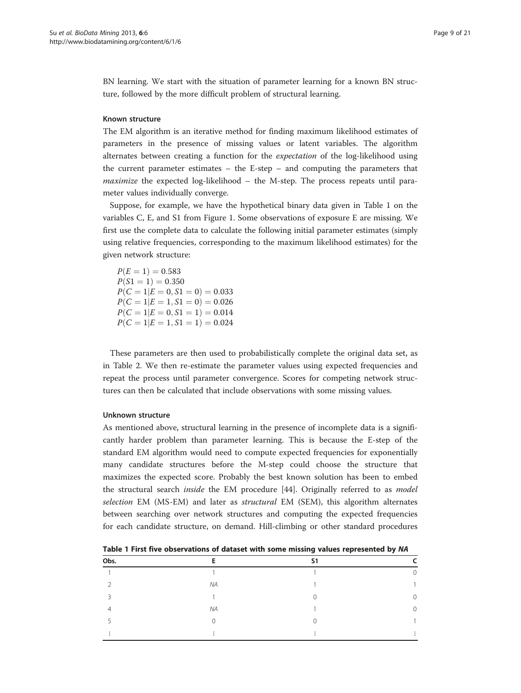BN learning. We start with the situation of parameter learning for a known BN structure, followed by the more difficult problem of structural learning.

# Known structure

The EM algorithm is an iterative method for finding maximum likelihood estimates of parameters in the presence of missing values or latent variables. The algorithm alternates between creating a function for the expectation of the log-likelihood using the current parameter estimates – the E-step – and computing the parameters that maximize the expected log-likelihood – the M-step. The process repeats until parameter values individually converge.

Suppose, for example, we have the hypothetical binary data given in Table 1 on the variables C, E, and S1 from Figure [1.](#page-2-0) Some observations of exposure E are missing. We first use the complete data to calculate the following initial parameter estimates (simply using relative frequencies, corresponding to the maximum likelihood estimates) for the given network structure:

 $P(E = 1) = 0.583$  $P(S1 = 1) = 0.350$  $P(C = 1|E = 0, S1 = 0) = 0.033$  $P(C = 1|E = 1, S1 = 0) = 0.026$  $P(C = 1|E = 0, S1 = 1) = 0.014$  $P(C = 1|E = 1, S1 = 1) = 0.024$ 

These parameters are then used to probabilistically complete the original data set, as in Table [2](#page-9-0). We then re-estimate the parameter values using expected frequencies and repeat the process until parameter convergence. Scores for competing network structures can then be calculated that include observations with some missing values.

#### Unknown structure

As mentioned above, structural learning in the presence of incomplete data is a significantly harder problem than parameter learning. This is because the E-step of the standard EM algorithm would need to compute expected frequencies for exponentially many candidate structures before the M-step could choose the structure that maximizes the expected score. Probably the best known solution has been to embed the structural search inside the EM procedure [[44\]](#page-20-0). Originally referred to as model selection EM (MS-EM) and later as *structural* EM (SEM), this algorithm alternates between searching over network structures and computing the expected frequencies for each candidate structure, on demand. Hill-climbing or other standard procedures

| Table I That the obact rations of dataset with some missing ratues represented by IWI |           |  |  |  |
|---------------------------------------------------------------------------------------|-----------|--|--|--|
| Obs.                                                                                  |           |  |  |  |
|                                                                                       |           |  |  |  |
|                                                                                       | <b>NA</b> |  |  |  |
|                                                                                       |           |  |  |  |
|                                                                                       | NA        |  |  |  |
|                                                                                       |           |  |  |  |
|                                                                                       |           |  |  |  |

Table 1 First five observations of dataset with some missing values represented by NA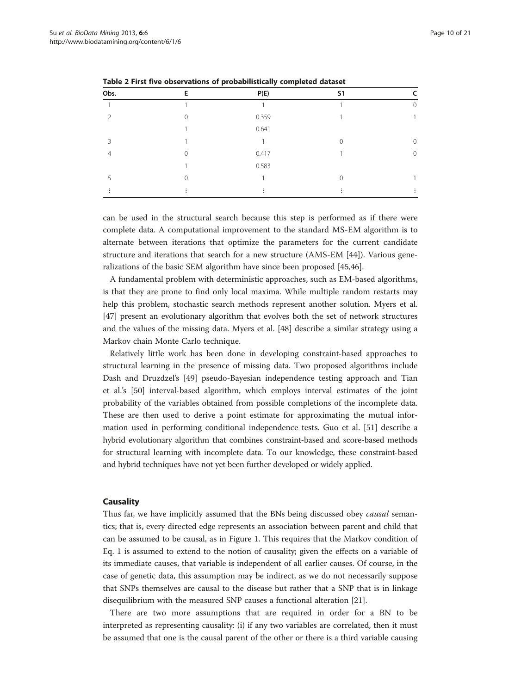| Obs. | F | P(E)  | S1 |              |
|------|---|-------|----|--------------|
|      |   |       |    | $\mathbf 0$  |
| 2    | 0 | 0.359 |    |              |
|      |   | 0.641 |    |              |
| 3    |   |       | 0  | $\circ$      |
| 4    | Ω | 0.417 |    | $\mathbf{0}$ |
|      |   | 0.583 |    |              |
| ╮    |   |       | 0  |              |
|      |   |       |    |              |
|      |   |       |    |              |

<span id="page-9-0"></span>Table 2 First five observations of probabilistically completed dataset

can be used in the structural search because this step is performed as if there were complete data. A computational improvement to the standard MS-EM algorithm is to alternate between iterations that optimize the parameters for the current candidate structure and iterations that search for a new structure (AMS-EM [\[44\]](#page-20-0)). Various generalizations of the basic SEM algorithm have since been proposed [\[45,46\]](#page-20-0).

A fundamental problem with deterministic approaches, such as EM-based algorithms, is that they are prone to find only local maxima. While multiple random restarts may help this problem, stochastic search methods represent another solution. Myers et al. [[47\]](#page-20-0) present an evolutionary algorithm that evolves both the set of network structures and the values of the missing data. Myers et al. [[48\]](#page-20-0) describe a similar strategy using a Markov chain Monte Carlo technique.

Relatively little work has been done in developing constraint-based approaches to structural learning in the presence of missing data. Two proposed algorithms include Dash and Druzdzel's [[49\]](#page-20-0) pseudo-Bayesian independence testing approach and Tian et al.'s [[50\]](#page-20-0) interval-based algorithm, which employs interval estimates of the joint probability of the variables obtained from possible completions of the incomplete data. These are then used to derive a point estimate for approximating the mutual information used in performing conditional independence tests. Guo et al. [[51\]](#page-20-0) describe a hybrid evolutionary algorithm that combines constraint-based and score-based methods for structural learning with incomplete data. To our knowledge, these constraint-based and hybrid techniques have not yet been further developed or widely applied.

#### Causality

Thus far, we have implicitly assumed that the BNs being discussed obey *causal* semantics; that is, every directed edge represents an association between parent and child that can be assumed to be causal, as in Figure [1.](#page-2-0) This requires that the Markov condition of Eq. [1](#page-1-0) is assumed to extend to the notion of causality; given the effects on a variable of its immediate causes, that variable is independent of all earlier causes. Of course, in the case of genetic data, this assumption may be indirect, as we do not necessarily suppose that SNPs themselves are causal to the disease but rather that a SNP that is in linkage disequilibrium with the measured SNP causes a functional alteration [[21\]](#page-19-0).

There are two more assumptions that are required in order for a BN to be interpreted as representing causality: (i) if any two variables are correlated, then it must be assumed that one is the causal parent of the other or there is a third variable causing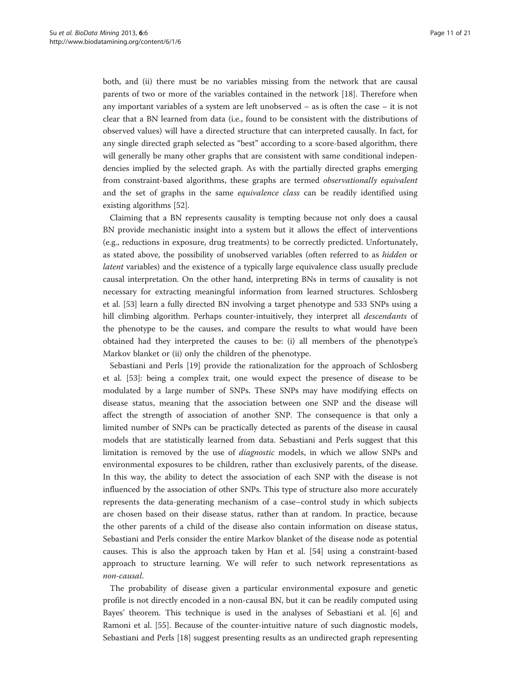both, and (ii) there must be no variables missing from the network that are causal parents of two or more of the variables contained in the network [[18\]](#page-19-0). Therefore when any important variables of a system are left unobserved – as is often the case – it is not clear that a BN learned from data (i.e., found to be consistent with the distributions of observed values) will have a directed structure that can interpreted causally. In fact, for any single directed graph selected as "best" according to a score-based algorithm, there will generally be many other graphs that are consistent with same conditional independencies implied by the selected graph. As with the partially directed graphs emerging from constraint-based algorithms, these graphs are termed observationally equivalent and the set of graphs in the same equivalence class can be readily identified using existing algorithms [[52](#page-20-0)].

Claiming that a BN represents causality is tempting because not only does a causal BN provide mechanistic insight into a system but it allows the effect of interventions (e.g., reductions in exposure, drug treatments) to be correctly predicted. Unfortunately, as stated above, the possibility of unobserved variables (often referred to as hidden or latent variables) and the existence of a typically large equivalence class usually preclude causal interpretation. On the other hand, interpreting BNs in terms of causality is not necessary for extracting meaningful information from learned structures. Schlosberg et al. [\[53\]](#page-20-0) learn a fully directed BN involving a target phenotype and 533 SNPs using a hill climbing algorithm. Perhaps counter-intuitively, they interpret all *descendants* of the phenotype to be the causes, and compare the results to what would have been obtained had they interpreted the causes to be: (i) all members of the phenotype's Markov blanket or (ii) only the children of the phenotype.

Sebastiani and Perls [\[19](#page-19-0)] provide the rationalization for the approach of Schlosberg et al. [[53](#page-20-0)]: being a complex trait, one would expect the presence of disease to be modulated by a large number of SNPs. These SNPs may have modifying effects on disease status, meaning that the association between one SNP and the disease will affect the strength of association of another SNP. The consequence is that only a limited number of SNPs can be practically detected as parents of the disease in causal models that are statistically learned from data. Sebastiani and Perls suggest that this limitation is removed by the use of diagnostic models, in which we allow SNPs and environmental exposures to be children, rather than exclusively parents, of the disease. In this way, the ability to detect the association of each SNP with the disease is not influenced by the association of other SNPs. This type of structure also more accurately represents the data-generating mechanism of a case–control study in which subjects are chosen based on their disease status, rather than at random. In practice, because the other parents of a child of the disease also contain information on disease status, Sebastiani and Perls consider the entire Markov blanket of the disease node as potential causes. This is also the approach taken by Han et al. [[54\]](#page-20-0) using a constraint-based approach to structure learning. We will refer to such network representations as non-causal.

The probability of disease given a particular environmental exposure and genetic profile is not directly encoded in a non-causal BN, but it can be readily computed using Bayes' theorem. This technique is used in the analyses of Sebastiani et al. [[6](#page-19-0)] and Ramoni et al. [[55](#page-20-0)]. Because of the counter-intuitive nature of such diagnostic models, Sebastiani and Perls [[18](#page-19-0)] suggest presenting results as an undirected graph representing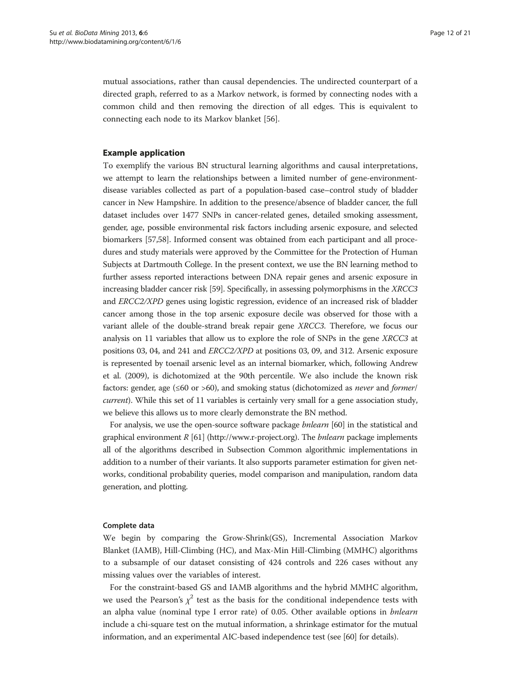mutual associations, rather than causal dependencies. The undirected counterpart of a directed graph, referred to as a Markov network, is formed by connecting nodes with a common child and then removing the direction of all edges. This is equivalent to connecting each node to its Markov blanket [[56\]](#page-20-0).

# Example application

To exemplify the various BN structural learning algorithms and causal interpretations, we attempt to learn the relationships between a limited number of gene-environmentdisease variables collected as part of a population-based case–control study of bladder cancer in New Hampshire. In addition to the presence/absence of bladder cancer, the full dataset includes over 1477 SNPs in cancer-related genes, detailed smoking assessment, gender, age, possible environmental risk factors including arsenic exposure, and selected biomarkers [\[57,58](#page-20-0)]. Informed consent was obtained from each participant and all procedures and study materials were approved by the Committee for the Protection of Human Subjects at Dartmouth College. In the present context, we use the BN learning method to further assess reported interactions between DNA repair genes and arsenic exposure in increasing bladder cancer risk [\[59](#page-20-0)]. Specifically, in assessing polymorphisms in the XRCC3 and ERCC2/XPD genes using logistic regression, evidence of an increased risk of bladder cancer among those in the top arsenic exposure decile was observed for those with a variant allele of the double-strand break repair gene XRCC3. Therefore, we focus our analysis on 11 variables that allow us to explore the role of SNPs in the gene XRCC3 at positions 03, 04, and 241 and ERCC2/XPD at positions 03, 09, and 312. Arsenic exposure is represented by toenail arsenic level as an internal biomarker, which, following Andrew et al. (2009), is dichotomized at the 90th percentile. We also include the known risk factors: gender, age (≤60 or >60), and smoking status (dichotomized as *never* and *former*/ current). While this set of 11 variables is certainly very small for a gene association study, we believe this allows us to more clearly demonstrate the BN method.

For analysis, we use the open-source software package bnlearn [[60](#page-20-0)] in the statistical and graphical environment  $R$  [\[61](#page-20-0)] ([http://www.r-project.org\)](http://www.r-project.org). The *bnlearn* package implements all of the algorithms described in Subsection Common algorithmic implementations in addition to a number of their variants. It also supports parameter estimation for given networks, conditional probability queries, model comparison and manipulation, random data generation, and plotting.

#### Complete data

We begin by comparing the Grow-Shrink(GS), Incremental Association Markov Blanket (IAMB), Hill-Climbing (HC), and Max-Min Hill-Climbing (MMHC) algorithms to a subsample of our dataset consisting of 424 controls and 226 cases without any missing values over the variables of interest.

For the constraint-based GS and IAMB algorithms and the hybrid MMHC algorithm, we used the Pearson's  $\chi^2$  test as the basis for the conditional independence tests with an alpha value (nominal type I error rate) of 0.05. Other available options in *bnlearn* include a chi-square test on the mutual information, a shrinkage estimator for the mutual information, and an experimental AIC-based independence test (see [\[60](#page-20-0)] for details).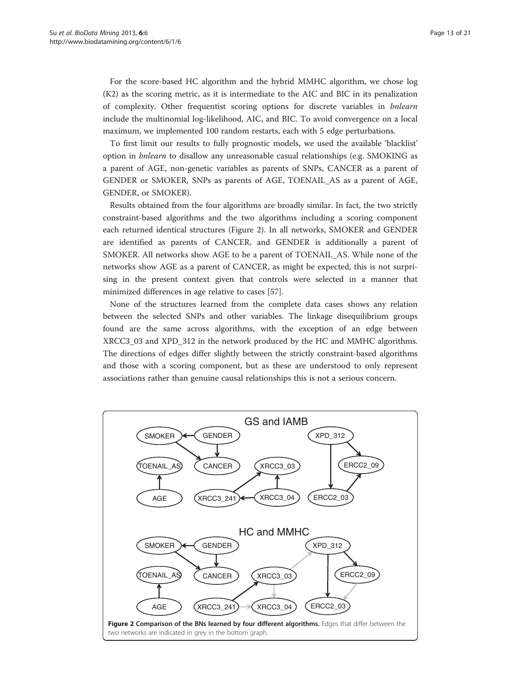<span id="page-12-0"></span>For the score-based HC algorithm and the hybrid MMHC algorithm, we chose log (K2) as the scoring metric, as it is intermediate to the AIC and BIC in its penalization of complexity. Other frequentist scoring options for discrete variables in bnlearn include the multinomial log-likelihood, AIC, and BIC. To avoid convergence on a local maximum, we implemented 100 random restarts, each with 5 edge perturbations.

To first limit our results to fully prognostic models, we used the available 'blacklist' option in bnlearn to disallow any unreasonable casual relationships (e.g. SMOKING as a parent of AGE, non-genetic variables as parents of SNPs, CANCER as a parent of GENDER or SMOKER, SNPs as parents of AGE, TOENAIL\_AS as a parent of AGE, GENDER, or SMOKER).

Results obtained from the four algorithms are broadly similar. In fact, the two strictly constraint-based algorithms and the two algorithms including a scoring component each returned identical structures (Figure 2). In all networks, SMOKER and GENDER are identified as parents of CANCER, and GENDER is additionally a parent of SMOKER. All networks show AGE to be a parent of TOENAIL\_AS. While none of the networks show AGE as a parent of CANCER, as might be expected, this is not surprising in the present context given that controls were selected in a manner that minimized differences in age relative to cases [[57\]](#page-20-0).

None of the structures learned from the complete data cases shows any relation between the selected SNPs and other variables. The linkage disequilibrium groups found are the same across algorithms, with the exception of an edge between XRCC3 03 and XPD 312 in the network produced by the HC and MMHC algorithms. The directions of edges differ slightly between the strictly constraint-based algorithms and those with a scoring component, but as these are understood to only represent associations rather than genuine causal relationships this is not a serious concern.

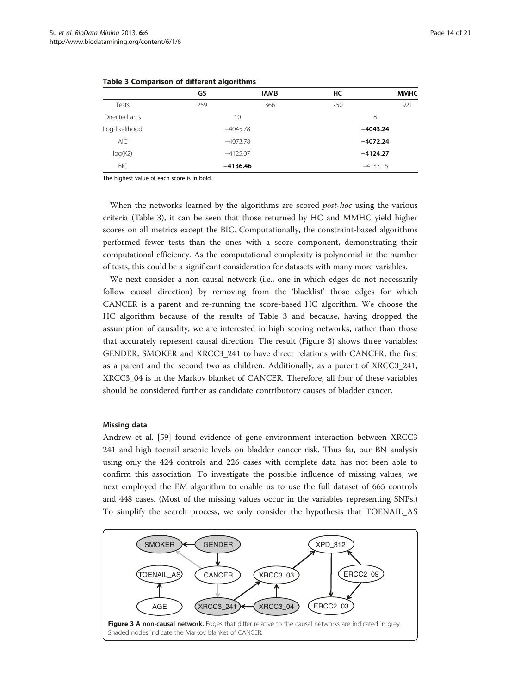|                | GS         | <b>IAMB</b> | HC         | <b>MMHC</b> |  |            |
|----------------|------------|-------------|------------|-------------|--|------------|
| Tests          | 259        | 366         | 750        | 921         |  |            |
| Directed arcs  | 10         |             |            |             |  | 8          |
| Log-likelihood | $-4045.78$ |             | $-4043.24$ |             |  |            |
| <b>AIC</b>     | $-4073.78$ |             | $-4072.24$ |             |  |            |
| log(K2)        | $-4125.07$ |             |            |             |  | $-4124.27$ |
| <b>BIC</b>     | -4136.46   |             |            |             |  | $-4137.16$ |
|                |            |             |            |             |  |            |

<span id="page-13-0"></span>Table 3 Comparison of different algorithms

The highest value of each score is in bold.

When the networks learned by the algorithms are scored *post-hoc* using the various criteria (Table 3), it can be seen that those returned by HC and MMHC yield higher scores on all metrics except the BIC. Computationally, the constraint-based algorithms performed fewer tests than the ones with a score component, demonstrating their computational efficiency. As the computational complexity is polynomial in the number of tests, this could be a significant consideration for datasets with many more variables.

We next consider a non-causal network (i.e., one in which edges do not necessarily follow causal direction) by removing from the 'blacklist' those edges for which CANCER is a parent and re-running the score-based HC algorithm. We choose the HC algorithm because of the results of Table 3 and because, having dropped the assumption of causality, we are interested in high scoring networks, rather than those that accurately represent causal direction. The result (Figure 3) shows three variables: GENDER, SMOKER and XRCC3\_241 to have direct relations with CANCER, the first as a parent and the second two as children. Additionally, as a parent of XRCC3\_241, XRCC3\_04 is in the Markov blanket of CANCER. Therefore, all four of these variables should be considered further as candidate contributory causes of bladder cancer.

#### Missing data

Andrew et al. [\[59\]](#page-20-0) found evidence of gene-environment interaction between XRCC3 241 and high toenail arsenic levels on bladder cancer risk. Thus far, our BN analysis using only the 424 controls and 226 cases with complete data has not been able to confirm this association. To investigate the possible influence of missing values, we next employed the EM algorithm to enable us to use the full dataset of 665 controls and 448 cases. (Most of the missing values occur in the variables representing SNPs.) To simplify the search process, we only consider the hypothesis that TOENAIL\_AS

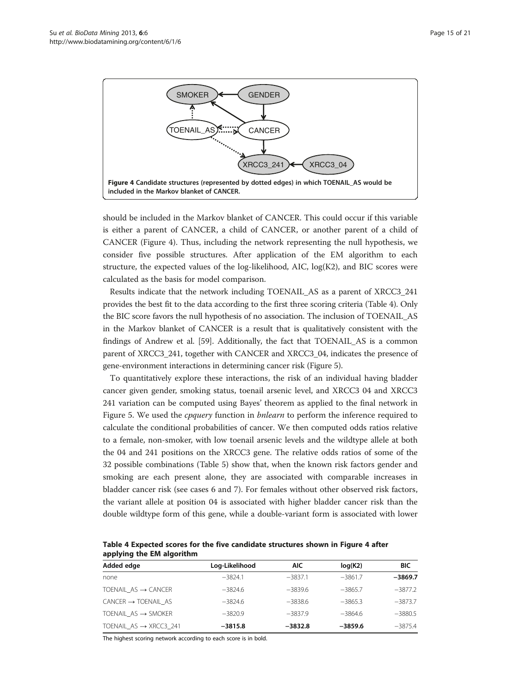

should be included in the Markov blanket of CANCER. This could occur if this variable is either a parent of CANCER, a child of CANCER, or another parent of a child of CANCER (Figure 4). Thus, including the network representing the null hypothesis, we consider five possible structures. After application of the EM algorithm to each structure, the expected values of the log-likelihood, AIC,  $log(K2)$ , and BIC scores were calculated as the basis for model comparison.

Results indicate that the network including TOENAIL\_AS as a parent of XRCC3\_241 provides the best fit to the data according to the first three scoring criteria (Table 4). Only the BIC score favors the null hypothesis of no association. The inclusion of TOENAIL\_AS in the Markov blanket of CANCER is a result that is qualitatively consistent with the findings of Andrew et al. [[59](#page-20-0)]. Additionally, the fact that TOENAIL\_AS is a common parent of XRCC3\_241, together with CANCER and XRCC3\_04, indicates the presence of gene-environment interactions in determining cancer risk (Figure [5\)](#page-15-0).

To quantitatively explore these interactions, the risk of an individual having bladder cancer given gender, smoking status, toenail arsenic level, and XRCC3 04 and XRCC3 241 variation can be computed using Bayes' theorem as applied to the final network in Figure [5](#page-15-0). We used the *cpquery* function in *bnlearn* to perform the inference required to calculate the conditional probabilities of cancer. We then computed odds ratios relative to a female, non-smoker, with low toenail arsenic levels and the wildtype allele at both the 04 and 241 positions on the XRCC3 gene. The relative odds ratios of some of the 32 possible combinations (Table [5](#page-15-0)) show that, when the known risk factors gender and smoking are each present alone, they are associated with comparable increases in bladder cancer risk (see cases 6 and 7). For females without other observed risk factors, the variant allele at position 04 is associated with higher bladder cancer risk than the double wildtype form of this gene, while a double-variant form is associated with lower

Table 4 Expected scores for the five candidate structures shown in Figure 4 after applying the EM algorithm

| Added edge                         | Log-Likelihood | AIC       | log(K2)   | <b>BIC</b> |
|------------------------------------|----------------|-----------|-----------|------------|
| none                               | $-3824.1$      | $-3837.1$ | $-3861.7$ | $-3869.7$  |
| TOENAIL AS $\rightarrow$ CANCER    | $-3824.6$      | $-3839.6$ | $-3865.7$ | $-3877.2$  |
| $CANCER \rightarrow TOENAIL AS$    | $-3824.6$      | $-3838.6$ | $-3865.3$ | $-3873.7$  |
| TOENAIL AS $\rightarrow$ SMOKER    | $-3820.9$      | $-3837.9$ | $-38646$  | $-3880.5$  |
| TOENAIL AS $\rightarrow$ XRCC3 241 | $-3815.8$      | $-3832.8$ | $-3859.6$ | $-3875.4$  |

The highest scoring network according to each score is in bold.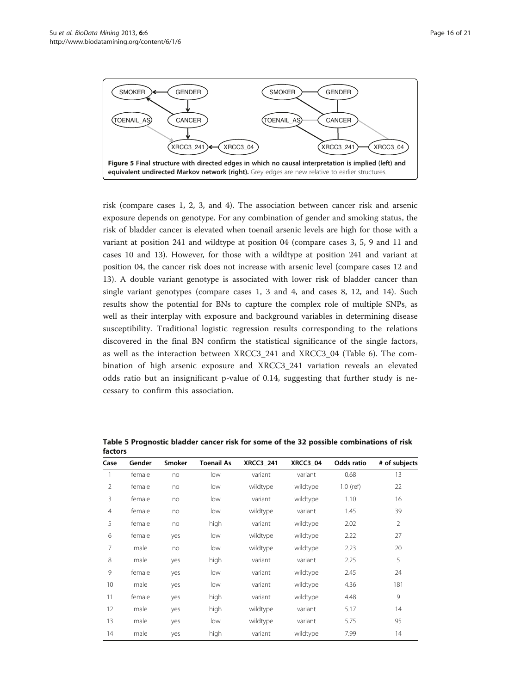<span id="page-15-0"></span>

risk (compare cases 1, 2, 3, and 4). The association between cancer risk and arsenic exposure depends on genotype. For any combination of gender and smoking status, the risk of bladder cancer is elevated when toenail arsenic levels are high for those with a variant at position 241 and wildtype at position 04 (compare cases 3, 5, 9 and 11 and cases 10 and 13). However, for those with a wildtype at position 241 and variant at position 04, the cancer risk does not increase with arsenic level (compare cases 12 and 13). A double variant genotype is associated with lower risk of bladder cancer than single variant genotypes (compare cases 1, 3 and 4, and cases 8, 12, and 14). Such results show the potential for BNs to capture the complex role of multiple SNPs, as well as their interplay with exposure and background variables in determining disease susceptibility. Traditional logistic regression results corresponding to the relations discovered in the final BN confirm the statistical significance of the single factors, as well as the interaction between XRCC3\_241 and XRCC3\_04 (Table [6](#page-16-0)). The combination of high arsenic exposure and XRCC3\_241 variation reveals an elevated odds ratio but an insignificant p-value of 0.14, suggesting that further study is necessary to confirm this association.

|         |  | Table 5 Prognostic bladder cancer risk for some of the 32 possible combinations of risk |  |
|---------|--|-----------------------------------------------------------------------------------------|--|
| factors |  |                                                                                         |  |

| Case           | Gender | <b>Smoker</b> | <b>Toenail As</b> | <b>XRCC3_241</b> | <b>XRCC3_04</b> | Odds ratio  | # of subjects  |
|----------------|--------|---------------|-------------------|------------------|-----------------|-------------|----------------|
|                | female | no            | low               | variant          | variant         | 0.68        | 13             |
| $\overline{2}$ | female | no            | low               | wildtype         | wildtype        | $1.0$ (ref) | 22             |
| 3              | female | no            | low               | variant          | wildtype        | 1.10        | 16             |
| 4              | female | no            | low               | wildtype         | variant         | 1.45        | 39             |
| 5              | female | no            | high              | variant          | wildtype        | 2.02        | $\overline{2}$ |
| 6              | female | yes           | low               | wildtype         | wildtype        | 2.22        | 27             |
| 7              | male   | no            | low               | wildtype         | wildtype        | 2.23        | 20             |
| 8              | male   | yes           | high              | variant          | variant         | 2.25        | 5              |
| 9              | female | yes           | low               | variant          | wildtype        | 2.45        | 24             |
| 10             | male   | yes           | low               | variant          | wildtype        | 4.36        | 181            |
| 11             | female | yes           | high              | variant          | wildtype        | 4.48        | 9              |
| 12             | male   | yes           | high              | wildtype         | variant         | 5.17        | 14             |
| 13             | male   | yes           | low               | wildtype         | variant         | 5.75        | 95             |
| 14             | male   | yes           | high              | variant          | wildtype        | 7.99        | 14             |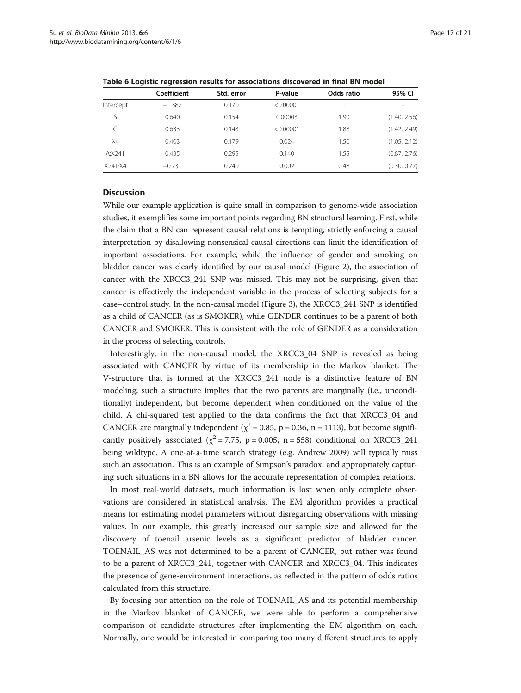|           | Coefficient | Std. error | P-value   | Odds ratio | 95% CI                   |
|-----------|-------------|------------|-----------|------------|--------------------------|
| Intercept | $-1.382$    | 0.170      | < 0.00001 |            | $\overline{\phantom{a}}$ |
| S         | 0.640       | 0.154      | 0.00003   | 1.90       | (1.40, 2.56)             |
| G         | 0.633       | 0.143      | < 0.00001 | 1.88       | (1.42, 2.49)             |
| X4        | 0.403       | 0.179      | 0.024     | 1.50       | (1.05, 2.12)             |
| $A:X$ 241 | 0.435       | 0.295      | 0.140     | 1.55       | (0.87, 2.76)             |
| X241:XA   | $-0.731$    | 0.240      | 0.002     | 0.48       | (0.30, 0.77)             |
|           |             |            |           |            |                          |

<span id="page-16-0"></span>Table 6 Logistic regression results for associations discovered in final BN model

# **Discussion**

While our example application is quite small in comparison to genome-wide association studies, it exemplifies some important points regarding BN structural learning. First, while the claim that a BN can represent causal relations is tempting, strictly enforcing a causal interpretation by disallowing nonsensical causal directions can limit the identification of important associations. For example, while the influence of gender and smoking on bladder cancer was clearly identified by our causal model (Figure [2](#page-12-0)), the association of cancer with the XRCC3\_241 SNP was missed. This may not be surprising, given that cancer is effectively the independent variable in the process of selecting subjects for a case–control study. In the non-causal model (Figure [3\)](#page-13-0), the XRCC3\_241 SNP is identified as a child of CANCER (as is SMOKER), while GENDER continues to be a parent of both CANCER and SMOKER. This is consistent with the role of GENDER as a consideration in the process of selecting controls.

Interestingly, in the non-causal model, the XRCC3\_04 SNP is revealed as being associated with CANCER by virtue of its membership in the Markov blanket. The V-structure that is formed at the XRCC3\_241 node is a distinctive feature of BN modeling; such a structure implies that the two parents are marginally (i.e., unconditionally) independent, but become dependent when conditioned on the value of the child. A chi-squared test applied to the data confirms the fact that XRCC3\_04 and CANCER are marginally independent ( $\chi^2$  = 0.85, p = 0.36, n = 1113), but become significantly positively associated ( $\chi^2$  = 7.75, p = 0.005, n = 558) conditional on XRCC3\_241 being wildtype. A one-at-a-time search strategy (e.g. Andrew 2009) will typically miss such an association. This is an example of Simpson's paradox, and appropriately capturing such situations in a BN allows for the accurate representation of complex relations.

In most real-world datasets, much information is lost when only complete observations are considered in statistical analysis. The EM algorithm provides a practical means for estimating model parameters without disregarding observations with missing values. In our example, this greatly increased our sample size and allowed for the discovery of toenail arsenic levels as a significant predictor of bladder cancer. TOENAIL\_AS was not determined to be a parent of CANCER, but rather was found to be a parent of XRCC3\_241, together with CANCER and XRCC3\_04. This indicates the presence of gene-environment interactions, as reflected in the pattern of odds ratios calculated from this structure.

By focusing our attention on the role of TOENAIL\_AS and its potential membership in the Markov blanket of CANCER, we were able to perform a comprehensive comparison of candidate structures after implementing the EM algorithm on each. Normally, one would be interested in comparing too many different structures to apply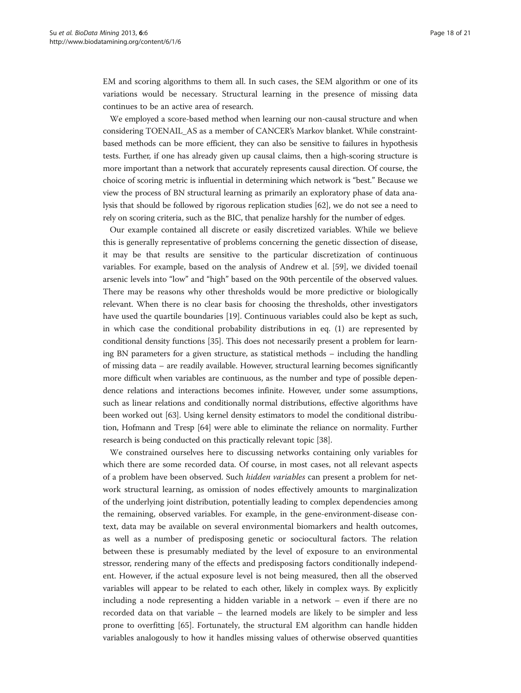EM and scoring algorithms to them all. In such cases, the SEM algorithm or one of its variations would be necessary. Structural learning in the presence of missing data continues to be an active area of research.

We employed a score-based method when learning our non-causal structure and when considering TOENAIL\_AS as a member of CANCER's Markov blanket. While constraintbased methods can be more efficient, they can also be sensitive to failures in hypothesis tests. Further, if one has already given up causal claims, then a high-scoring structure is more important than a network that accurately represents causal direction. Of course, the choice of scoring metric is influential in determining which network is "best." Because we view the process of BN structural learning as primarily an exploratory phase of data analysis that should be followed by rigorous replication studies [\[62\]](#page-20-0), we do not see a need to rely on scoring criteria, such as the BIC, that penalize harshly for the number of edges.

Our example contained all discrete or easily discretized variables. While we believe this is generally representative of problems concerning the genetic dissection of disease, it may be that results are sensitive to the particular discretization of continuous variables. For example, based on the analysis of Andrew et al. [\[59\]](#page-20-0), we divided toenail arsenic levels into "low" and "high" based on the 90th percentile of the observed values. There may be reasons why other thresholds would be more predictive or biologically relevant. When there is no clear basis for choosing the thresholds, other investigators have used the quartile boundaries [[19](#page-19-0)]. Continuous variables could also be kept as such, in which case the conditional probability distributions in eq. (1) are represented by conditional density functions [\[35](#page-19-0)]. This does not necessarily present a problem for learning BN parameters for a given structure, as statistical methods – including the handling of missing data – are readily available. However, structural learning becomes significantly more difficult when variables are continuous, as the number and type of possible dependence relations and interactions becomes infinite. However, under some assumptions, such as linear relations and conditionally normal distributions, effective algorithms have been worked out [\[63\]](#page-20-0). Using kernel density estimators to model the conditional distribution, Hofmann and Tresp [[64](#page-20-0)] were able to eliminate the reliance on normality. Further research is being conducted on this practically relevant topic [\[38\]](#page-20-0).

We constrained ourselves here to discussing networks containing only variables for which there are some recorded data. Of course, in most cases, not all relevant aspects of a problem have been observed. Such *hidden variables* can present a problem for network structural learning, as omission of nodes effectively amounts to marginalization of the underlying joint distribution, potentially leading to complex dependencies among the remaining, observed variables. For example, in the gene-environment-disease context, data may be available on several environmental biomarkers and health outcomes, as well as a number of predisposing genetic or sociocultural factors. The relation between these is presumably mediated by the level of exposure to an environmental stressor, rendering many of the effects and predisposing factors conditionally independent. However, if the actual exposure level is not being measured, then all the observed variables will appear to be related to each other, likely in complex ways. By explicitly including a node representing a hidden variable in a network – even if there are no recorded data on that variable – the learned models are likely to be simpler and less prone to overfitting [[65](#page-20-0)]. Fortunately, the structural EM algorithm can handle hidden variables analogously to how it handles missing values of otherwise observed quantities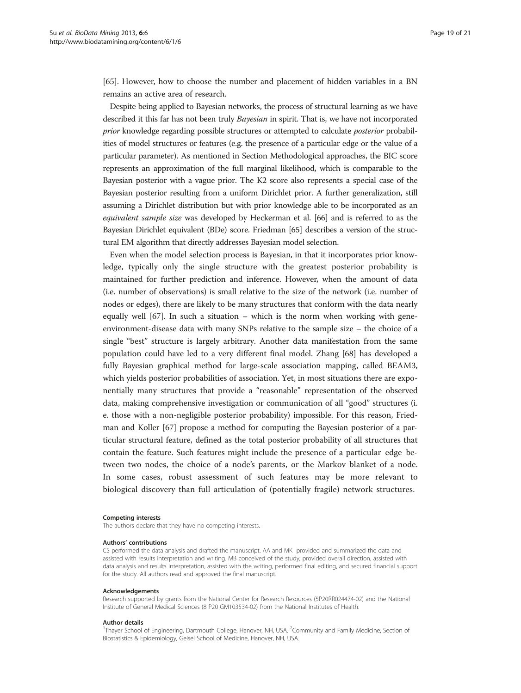[[65\]](#page-20-0). However, how to choose the number and placement of hidden variables in a BN remains an active area of research.

Despite being applied to Bayesian networks, the process of structural learning as we have described it this far has not been truly Bayesian in spirit. That is, we have not incorporated prior knowledge regarding possible structures or attempted to calculate *posterior* probabilities of model structures or features (e.g. the presence of a particular edge or the value of a particular parameter). As mentioned in Section Methodological approaches, the BIC score represents an approximation of the full marginal likelihood, which is comparable to the Bayesian posterior with a vague prior. The K2 score also represents a special case of the Bayesian posterior resulting from a uniform Dirichlet prior. A further generalization, still assuming a Dirichlet distribution but with prior knowledge able to be incorporated as an equivalent sample size was developed by Heckerman et al. [\[66\]](#page-20-0) and is referred to as the Bayesian Dirichlet equivalent (BDe) score. Friedman [\[65\]](#page-20-0) describes a version of the structural EM algorithm that directly addresses Bayesian model selection.

Even when the model selection process is Bayesian, in that it incorporates prior knowledge, typically only the single structure with the greatest posterior probability is maintained for further prediction and inference. However, when the amount of data (i.e. number of observations) is small relative to the size of the network (i.e. number of nodes or edges), there are likely to be many structures that conform with the data nearly equally well  $[67]$  $[67]$ . In such a situation – which is the norm when working with geneenvironment-disease data with many SNPs relative to the sample size – the choice of a single "best" structure is largely arbitrary. Another data manifestation from the same population could have led to a very different final model. Zhang [\[68](#page-20-0)] has developed a fully Bayesian graphical method for large-scale association mapping, called BEAM3, which yields posterior probabilities of association. Yet, in most situations there are exponentially many structures that provide a "reasonable" representation of the observed data, making comprehensive investigation or communication of all "good" structures (i. e. those with a non-negligible posterior probability) impossible. For this reason, Friedman and Koller [[67\]](#page-20-0) propose a method for computing the Bayesian posterior of a particular structural feature, defined as the total posterior probability of all structures that contain the feature. Such features might include the presence of a particular edge between two nodes, the choice of a node's parents, or the Markov blanket of a node. In some cases, robust assessment of such features may be more relevant to biological discovery than full articulation of (potentially fragile) network structures.

#### Competing interests

The authors declare that they have no competing interests.

#### Authors' contributions

CS performed the data analysis and drafted the manuscript. AA and MK provided and summarized the data and assisted with results interpretation and writing. MB conceived of the study, provided overall direction, assisted with data analysis and results interpretation, assisted with the writing, performed final editing, and secured financial support for the study. All authors read and approved the final manuscript.

#### Acknowledgements

Research supported by grants from the National Center for Research Resources (5P20RR024474-02) and the National Institute of General Medical Sciences (8 P20 GM103534-02) from the National Institutes of Health.

#### Author details

<sup>1</sup>Thayer School of Engineering, Dartmouth College, Hanover, NH, USA. <sup>2</sup>Community and Family Medicine, Section of Biostatistics & Epidemiology, Geisel School of Medicine, Hanover, NH, USA.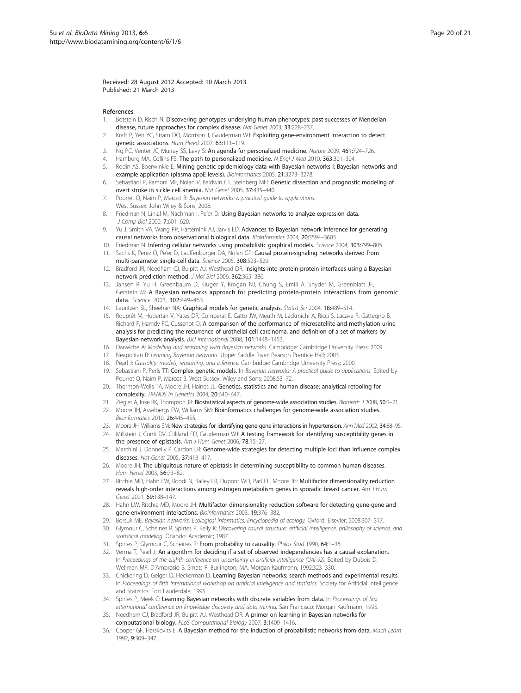<span id="page-19-0"></span>Received: 28 August 2012 Accepted: 10 March 2013 Published: 21 March 2013

#### References

- Botstein D, Risch N: Discovering genotypes underlying human phenotypes: past successes of Mendelian disease, future approaches for complex disease. Nat Genet 2003, 33:228–237.
- 2. Kraft P, Yen YC, Stram DO, Morrison J, Gauderman WJ: Exploiting gene-environment interaction to detect genetic associations. Hum Hered 2007, 63:111–119.
- 3. Ng PC, Venter JC, Murray SS, Levy S: An agenda for personalized medicine. Nature 2009, 461:724–726.
- Hamburg MA, Collins FS: The path to personalized medicine. N Engl J Med 2010, 363:301-304.
- 5. Rodin AS, Boerwinkle E: Mining genetic epidemiology data with Bayesian networks I: Bayesian networks and example application (plasma apoE levels). Bioinformatics 2005, 21:3273–3278.
- Sebastiani P, Ramoni MF, Nolan V, Baldwin CT, Steinberg MH: Genetic dissection and prognostic modeling of overt stroke in sickle cell anemia. Nat Genet 2005, 37:435–440.
- 7. Pourret O, Naim P, Marcot B: Bayesian networks: a practical guide to applications.
- West Sussex: John Wiley & Sons; 2008.
- 8. Friedman N, Linial M, Nachman I, Pe'er D: Using Bayesian networks to analyze expression data. J Comp Biol 2000, 7:601–620.
- 9. Yu J, Smith VA, Wang PP, Hartemink AJ, Jarvis ED: Advances to Bayesian network inference for generating causal networks from observational biological data. Bioinfomatics 2004, 20:3594–3603.
- 10. Friedman N: Inferring cellular networks using probabilistic graphical models. Science 2004, 303:799-805.
- 11. Sachs K, Perez O, Pe'er D, Lauffenburger DA, Nolan GP: Causal protein-signaling networks derived from multi-parameter single-cell data. Science 2005, 308:523–529.
- 12. Bradford JR, Needham CJ, Bulpitt AJ, Westhead DR: Insights into protein-protein interfaces using a Bayesian network prediction method. J Mol Biol 2006, 362:365–386.
- 13. Jansen R, Yu H, Greenbaum D, Kluger Y, Krogan NJ, Chung S, Emili A, Snyder M, Greenblatt JF, Gerstein M: A Bayesian networks approach for predicting protein-protein interactions from genomic data. Science 2003, 302:449–453.
- 14. Lauritzen SL, Sheehan NA: Graphical models for genetic analysis. Statist Sci 2004, 18:489-514.
- 15. Rouprêt M, Hupertan V, Yates DR, Comperat E, Catto JW, Meuth M, Lackmichi A, Ricci S, Lacave R, Gattegno B, Richard F, Hamdy FC, Cussenot O: A comparison of the performance of microsatellite and methylation urine analysis for predicting the recurrence of urothelial cell carcinoma, and definition of a set of markers by Bayesian network analysis. BJU International 2008, 101:1448–1453.
- 16. Darwiche A: Modelling and reasoning with Bayesian networks. Cambridge: Cambridge University Press; 2009.
- 17. Neapolitan R: Learning Bayesian networks. Upper Saddle River: Pearson Prentice Hall; 2003.
- 18. Pearl J: Causality: models, reasoning, and inference. Cambridge: Cambridge University Press; 2000.
- 19. Sebastiani P, Perls TT: Complex genetic models. In Bayesian networks: A practical guide to applications. Edited by Pourret O, Naim P, Marcot B. West Sussex: Wiley and Sons; 2008:53–72.
- 20. Thornton-Wells TA, Moore JH, Haines JL: Genetics, statistics and human disease: analytical retooling for complexity. TRENDS in Genetics 2004, 20:640–647.
- 21. Ziegler A, Inke RK, Thompson JR: Biostatistical aspects of genome-wide association studies. Biometric J 2008, 50:1-21.
- 22. Moore JH, Asselbergs FW, Williams SM: Bioinformatics challenges for genome-wide association studies. Bioinformatics 2010, 26:445–455.
- 23. Moore JH, Williams SM: New strategies for identifying gene-gene interactions in hypertension. Ann Med 2002, 34:88-95.
- 24. Millstein J, Conti DV, Gilliland FD, Gauderman WJ: A testing framework for identifying susceptibility genes in the presence of epistasis. Am J Hum Genet 2006, 78:15–27.
- 25. Marchini J, Donnelly P, Cardon LR: Genome-wide strategies for detecting multiple loci than influence complex diseases. Nat Genet 2005, 37:413–417.
- 26. Moore JH: The ubiquitous nature of epistasis in determining susceptibility to common human diseases. Hum Hered 2003, 56:73–82.
- 27. Ritchie MD, Hahn LW, Roodi N, Bailey LR, Dupont WD, Parl FF, Moore JH: Multifactor dimensionality reduction reveals high-order interactions among estrogen metabolism genes in sporadic breast cancer. Am J Hum Genet 2001, 69:138–147.
- 28. Hahn LW, Ritchie MD, Moore JH: Multifactor dimensionality reduction software for detecting gene-gene and gene-environment interactions. Bioinformatics 2003, 19:376–382.
- 29. Borsuk ME: Bayesian networks. Ecological informatics, Encyclopedia of ecology. Oxford: Elsevier; 2008:307–317.
- 30. Glymour C, Scheines R, Spirtes P, Kelly K: Discovering causal structure: artificial intelligence, philosophy of science, and statistical modeling. Orlando: Academic; 1987.
- 31. Spirtes P, Glymour C, Scheines R: From probability to causality. Philos Stud 1990, 64:1-36.
- 32. Verma T, Pearl J: An algorithm for deciding if a set of observed independencies has a causal explanation. In Proceedings of the eighth conference on uncertainty in artificial intelligence (UAI-92). Edited by Dubois D, Wellman MP, D'Ambrosio B, Smets P. Burlington, MA: Morgan Kaufmann; 1992:323–330.
- 33. Chickering D, Geiger D, Heckerman D: Learning Bayesian networks: search methods and experimental results. In Proceedings of fifth international workshop on artificial intelligence and statistics. Society for Artificial Intelligence and Statistics: Fort Lauderdale; 1995.
- 34. Spirtes P, Meek C: Learning Bayesian networks with discrete variables from data. In Proceedings of first international conference on knowledge discovery and data mining. San Francisco: Morgan Kaufmann; 1995.
- 35. Needham CJ, Bradford JR, Bulpitt AJ, Westhead DR: A primer on learning in Bayesian networks for computational biology. PLoS Computational Biology 2007, 3:1409–1416.
- 36. Cooper GF, Herskovits E: A Bayesian method for the induction of probabilistic networks from data. Mach Learn 1992, 9:309–347.